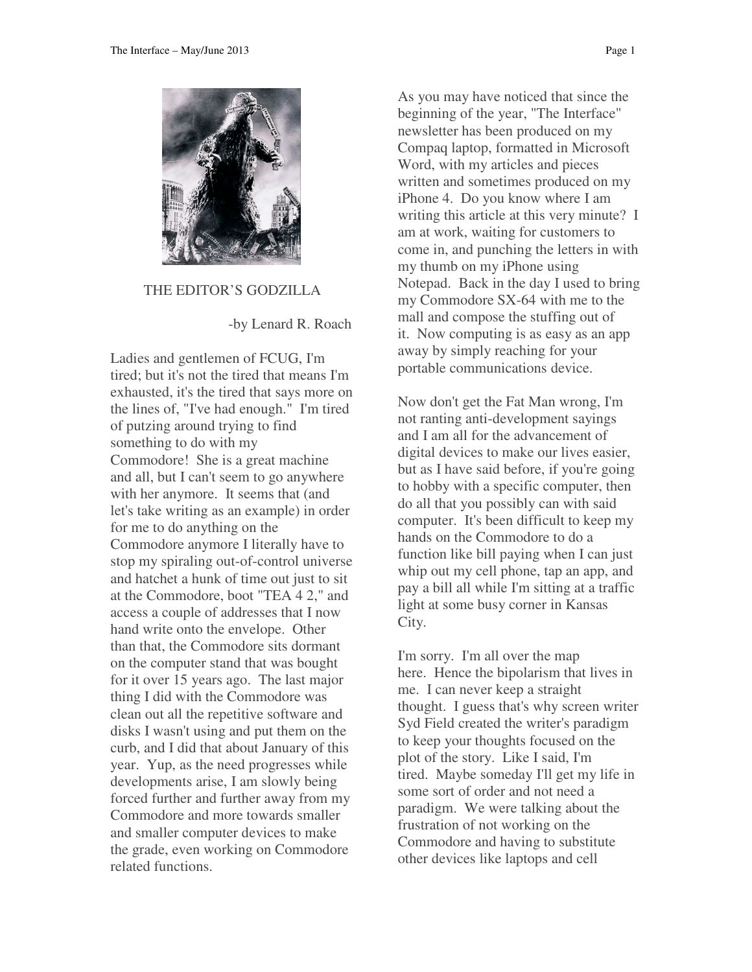

THE EDITOR'S GODZILLA

-by Lenard R. Roach

Ladies and gentlemen of FCUG, I'm tired; but it's not the tired that means I'm exhausted, it's the tired that says more on the lines of, "I've had enough." I'm tired of putzing around trying to find something to do with my Commodore! She is a great machine and all, but I can't seem to go anywhere with her anymore. It seems that (and let's take writing as an example) in order for me to do anything on the Commodore anymore I literally have to stop my spiraling out-of-control universe and hatchet a hunk of time out just to sit at the Commodore, boot "TEA 4 2," and access a couple of addresses that I now hand write onto the envelope. Other than that, the Commodore sits dormant on the computer stand that was bought for it over 15 years ago. The last major thing I did with the Commodore was clean out all the repetitive software and disks I wasn't using and put them on the curb, and I did that about January of this year. Yup, as the need progresses while developments arise, I am slowly being forced further and further away from my Commodore and more towards smaller and smaller computer devices to make the grade, even working on Commodore related functions.

As you may have noticed that since the beginning of the year, "The Interface" newsletter has been produced on my Compaq laptop, formatted in Microsoft Word, with my articles and pieces written and sometimes produced on my iPhone 4. Do you know where I am writing this article at this very minute? I am at work, waiting for customers to come in, and punching the letters in with my thumb on my iPhone using Notepad. Back in the day I used to bring my Commodore SX-64 with me to the mall and compose the stuffing out of it. Now computing is as easy as an app away by simply reaching for your portable communications device.

Now don't get the Fat Man wrong, I'm not ranting anti-development sayings and I am all for the advancement of digital devices to make our lives easier, but as I have said before, if you're going to hobby with a specific computer, then do all that you possibly can with said computer. It's been difficult to keep my hands on the Commodore to do a function like bill paying when I can just whip out my cell phone, tap an app, and pay a bill all while I'm sitting at a traffic light at some busy corner in Kansas City.

I'm sorry. I'm all over the map here. Hence the bipolarism that lives in me. I can never keep a straight thought. I guess that's why screen writer Syd Field created the writer's paradigm to keep your thoughts focused on the plot of the story. Like I said, I'm tired. Maybe someday I'll get my life in some sort of order and not need a paradigm. We were talking about the frustration of not working on the Commodore and having to substitute other devices like laptops and cell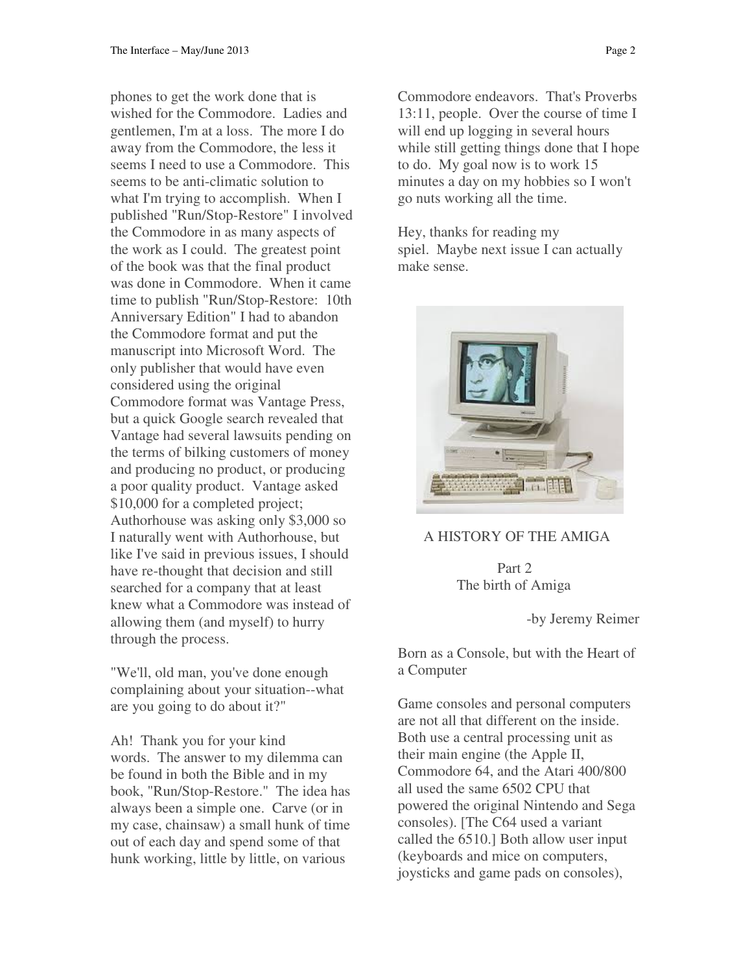phones to get the work done that is wished for the Commodore. Ladies and gentlemen, I'm at a loss. The more I do away from the Commodore, the less it seems I need to use a Commodore. This seems to be anti-climatic solution to what I'm trying to accomplish. When I published "Run/Stop-Restore" I involved the Commodore in as many aspects of the work as I could. The greatest point of the book was that the final product was done in Commodore. When it came time to publish "Run/Stop-Restore: 10th Anniversary Edition" I had to abandon the Commodore format and put the manuscript into Microsoft Word. The only publisher that would have even considered using the original Commodore format was Vantage Press, but a quick Google search revealed that Vantage had several lawsuits pending on the terms of bilking customers of money and producing no product, or producing a poor quality product. Vantage asked \$10,000 for a completed project; Authorhouse was asking only \$3,000 so I naturally went with Authorhouse, but like I've said in previous issues, I should have re-thought that decision and still searched for a company that at least knew what a Commodore was instead of allowing them (and myself) to hurry through the process.

"We'll, old man, you've done enough complaining about your situation--what are you going to do about it?"

Ah! Thank you for your kind words. The answer to my dilemma can be found in both the Bible and in my book, "Run/Stop-Restore." The idea has always been a simple one. Carve (or in my case, chainsaw) a small hunk of time out of each day and spend some of that hunk working, little by little, on various

Commodore endeavors. That's Proverbs 13:11, people. Over the course of time I will end up logging in several hours while still getting things done that I hope to do. My goal now is to work 15 minutes a day on my hobbies so I won't go nuts working all the time.

Hey, thanks for reading my spiel. Maybe next issue I can actually make sense.



## A HISTORY OF THE AMIGA

 Part 2 The birth of Amiga

-by Jeremy Reimer

Born as a Console, but with the Heart of a Computer

Game consoles and personal computers are not all that different on the inside. Both use a central processing unit as their main engine (the Apple II, Commodore 64, and the Atari 400/800 all used the same 6502 CPU that powered the original Nintendo and Sega consoles). [The C64 used a variant called the 6510.] Both allow user input (keyboards and mice on computers, joysticks and game pads on consoles),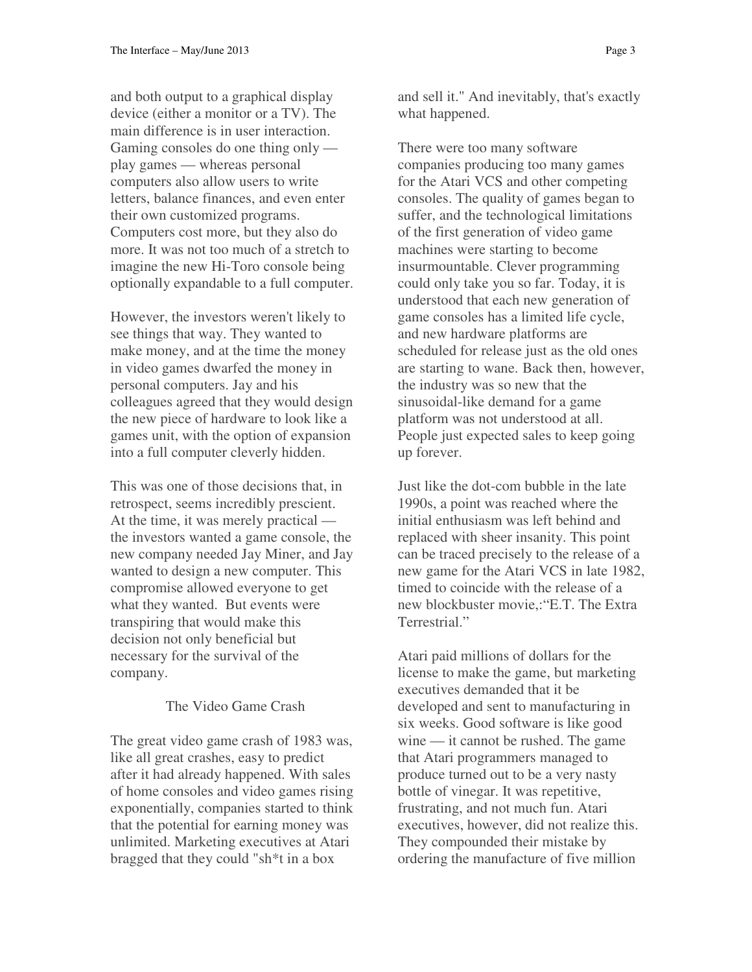and both output to a graphical display device (either a monitor or a TV). The main difference is in user interaction. Gaming consoles do one thing only play games — whereas personal computers also allow users to write letters, balance finances, and even enter their own customized programs. Computers cost more, but they also do more. It was not too much of a stretch to imagine the new Hi-Toro console being optionally expandable to a full computer.

However, the investors weren't likely to see things that way. They wanted to make money, and at the time the money in video games dwarfed the money in personal computers. Jay and his colleagues agreed that they would design the new piece of hardware to look like a games unit, with the option of expansion into a full computer cleverly hidden.

This was one of those decisions that, in retrospect, seems incredibly prescient. At the time, it was merely practical the investors wanted a game console, the new company needed Jay Miner, and Jay wanted to design a new computer. This compromise allowed everyone to get what they wanted. But events were transpiring that would make this decision not only beneficial but necessary for the survival of the company.

### The Video Game Crash

The great video game crash of 1983 was, like all great crashes, easy to predict after it had already happened. With sales of home consoles and video games rising exponentially, companies started to think that the potential for earning money was unlimited. Marketing executives at Atari bragged that they could "sh\*t in a box

and sell it." And inevitably, that's exactly what happened.

There were too many software companies producing too many games for the Atari VCS and other competing consoles. The quality of games began to suffer, and the technological limitations of the first generation of video game machines were starting to become insurmountable. Clever programming could only take you so far. Today, it is understood that each new generation of game consoles has a limited life cycle, and new hardware platforms are scheduled for release just as the old ones are starting to wane. Back then, however, the industry was so new that the sinusoidal-like demand for a game platform was not understood at all. People just expected sales to keep going up forever.

Just like the dot-com bubble in the late 1990s, a point was reached where the initial enthusiasm was left behind and replaced with sheer insanity. This point can be traced precisely to the release of a new game for the Atari VCS in late 1982, timed to coincide with the release of a new blockbuster movie,:"E.T. The Extra Terrestrial."

Atari paid millions of dollars for the license to make the game, but marketing executives demanded that it be developed and sent to manufacturing in six weeks. Good software is like good wine — it cannot be rushed. The game that Atari programmers managed to produce turned out to be a very nasty bottle of vinegar. It was repetitive, frustrating, and not much fun. Atari executives, however, did not realize this. They compounded their mistake by ordering the manufacture of five million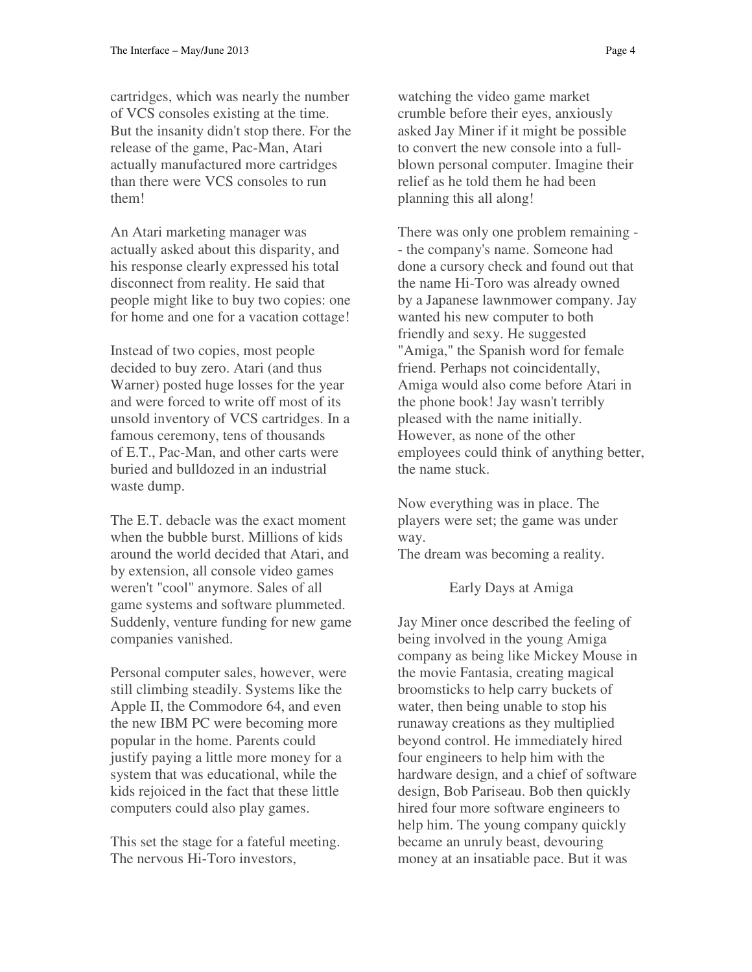cartridges, which was nearly the number of VCS consoles existing at the time. But the insanity didn't stop there. For the release of the game, Pac-Man, Atari actually manufactured more cartridges than there were VCS consoles to run them!

An Atari marketing manager was actually asked about this disparity, and his response clearly expressed his total disconnect from reality. He said that people might like to buy two copies: one for home and one for a vacation cottage!

Instead of two copies, most people decided to buy zero. Atari (and thus Warner) posted huge losses for the year and were forced to write off most of its unsold inventory of VCS cartridges. In a famous ceremony, tens of thousands of E.T., Pac-Man, and other carts were buried and bulldozed in an industrial waste dump.

The E.T. debacle was the exact moment when the bubble burst. Millions of kids around the world decided that Atari, and by extension, all console video games weren't "cool" anymore. Sales of all game systems and software plummeted. Suddenly, venture funding for new game companies vanished.

Personal computer sales, however, were still climbing steadily. Systems like the Apple II, the Commodore 64, and even the new IBM PC were becoming more popular in the home. Parents could justify paying a little more money for a system that was educational, while the kids rejoiced in the fact that these little computers could also play games.

This set the stage for a fateful meeting. The nervous Hi-Toro investors,

watching the video game market crumble before their eyes, anxiously asked Jay Miner if it might be possible to convert the new console into a fullblown personal computer. Imagine their relief as he told them he had been planning this all along!

There was only one problem remaining - - the company's name. Someone had done a cursory check and found out that the name Hi-Toro was already owned by a Japanese lawnmower company. Jay wanted his new computer to both friendly and sexy. He suggested "Amiga," the Spanish word for female friend. Perhaps not coincidentally, Amiga would also come before Atari in the phone book! Jay wasn't terribly pleased with the name initially. However, as none of the other employees could think of anything better, the name stuck.

Now everything was in place. The players were set; the game was under way.

The dream was becoming a reality.

Early Days at Amiga

Jay Miner once described the feeling of being involved in the young Amiga company as being like Mickey Mouse in the movie Fantasia, creating magical broomsticks to help carry buckets of water, then being unable to stop his runaway creations as they multiplied beyond control. He immediately hired four engineers to help him with the hardware design, and a chief of software design, Bob Pariseau. Bob then quickly hired four more software engineers to help him. The young company quickly became an unruly beast, devouring money at an insatiable pace. But it was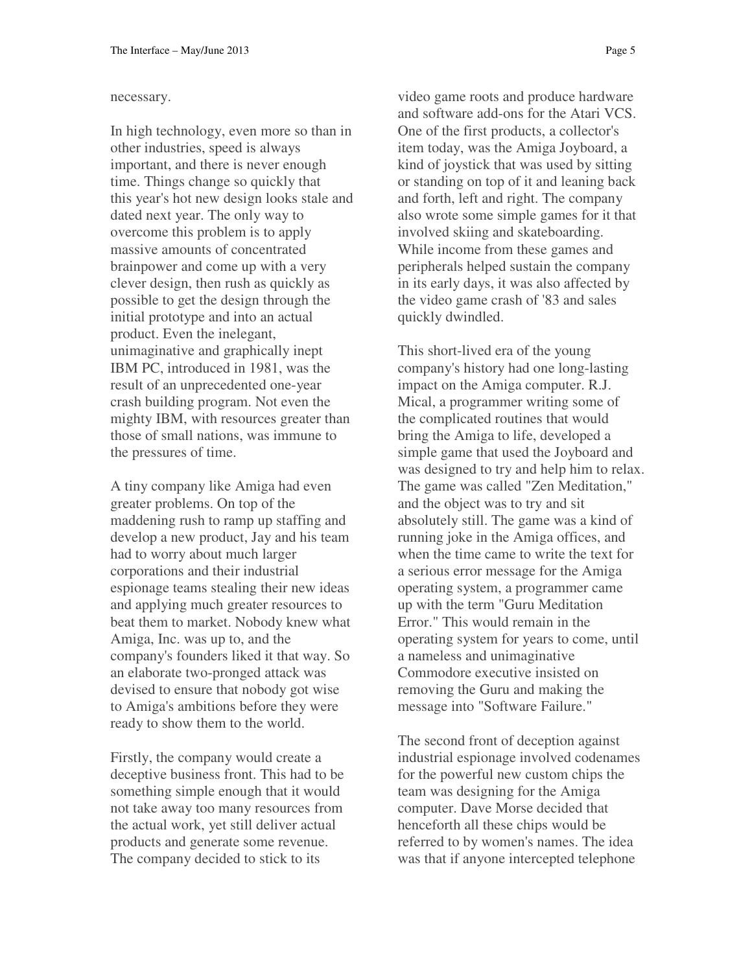#### necessary.

In high technology, even more so than in other industries, speed is always important, and there is never enough time. Things change so quickly that this year's hot new design looks stale and dated next year. The only way to overcome this problem is to apply massive amounts of concentrated brainpower and come up with a very clever design, then rush as quickly as possible to get the design through the initial prototype and into an actual product. Even the inelegant, unimaginative and graphically inept IBM PC, introduced in 1981, was the result of an unprecedented one-year crash building program. Not even the mighty IBM, with resources greater than those of small nations, was immune to the pressures of time.

A tiny company like Amiga had even greater problems. On top of the maddening rush to ramp up staffing and develop a new product, Jay and his team had to worry about much larger corporations and their industrial espionage teams stealing their new ideas and applying much greater resources to beat them to market. Nobody knew what Amiga, Inc. was up to, and the company's founders liked it that way. So an elaborate two-pronged attack was devised to ensure that nobody got wise to Amiga's ambitions before they were ready to show them to the world.

Firstly, the company would create a deceptive business front. This had to be something simple enough that it would not take away too many resources from the actual work, yet still deliver actual products and generate some revenue. The company decided to stick to its

video game roots and produce hardware and software add-ons for the Atari VCS. One of the first products, a collector's item today, was the Amiga Joyboard, a kind of joystick that was used by sitting or standing on top of it and leaning back and forth, left and right. The company also wrote some simple games for it that involved skiing and skateboarding. While income from these games and peripherals helped sustain the company in its early days, it was also affected by the video game crash of '83 and sales quickly dwindled.

This short-lived era of the young company's history had one long-lasting impact on the Amiga computer. R.J. Mical, a programmer writing some of the complicated routines that would bring the Amiga to life, developed a simple game that used the Joyboard and was designed to try and help him to relax. The game was called "Zen Meditation," and the object was to try and sit absolutely still. The game was a kind of running joke in the Amiga offices, and when the time came to write the text for a serious error message for the Amiga operating system, a programmer came up with the term "Guru Meditation Error." This would remain in the operating system for years to come, until a nameless and unimaginative Commodore executive insisted on removing the Guru and making the message into "Software Failure."

The second front of deception against industrial espionage involved codenames for the powerful new custom chips the team was designing for the Amiga computer. Dave Morse decided that henceforth all these chips would be referred to by women's names. The idea was that if anyone intercepted telephone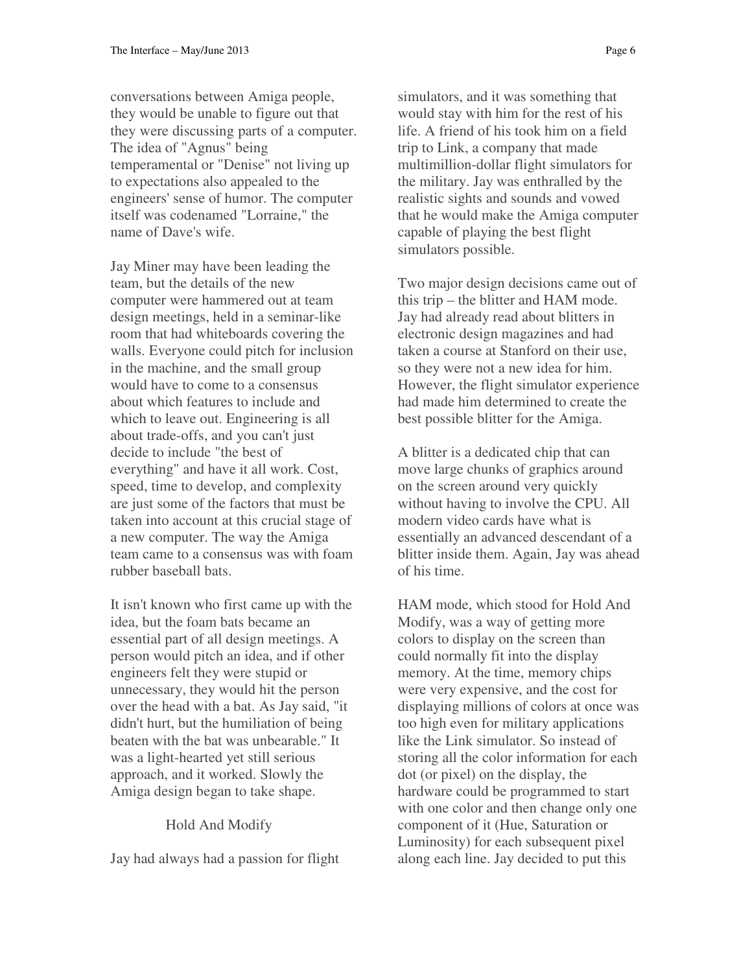conversations between Amiga people, they would be unable to figure out that they were discussing parts of a computer. The idea of "Agnus" being temperamental or "Denise" not living up to expectations also appealed to the engineers' sense of humor. The computer itself was codenamed "Lorraine," the name of Dave's wife.

Jay Miner may have been leading the team, but the details of the new computer were hammered out at team design meetings, held in a seminar-like room that had whiteboards covering the walls. Everyone could pitch for inclusion in the machine, and the small group would have to come to a consensus about which features to include and which to leave out. Engineering is all about trade-offs, and you can't just decide to include "the best of everything" and have it all work. Cost, speed, time to develop, and complexity are just some of the factors that must be taken into account at this crucial stage of a new computer. The way the Amiga team came to a consensus was with foam rubber baseball bats.

It isn't known who first came up with the idea, but the foam bats became an essential part of all design meetings. A person would pitch an idea, and if other engineers felt they were stupid or unnecessary, they would hit the person over the head with a bat. As Jay said, "it didn't hurt, but the humiliation of being beaten with the bat was unbearable." It was a light-hearted yet still serious approach, and it worked. Slowly the Amiga design began to take shape.

### Hold And Modify

Jay had always had a passion for flight

simulators, and it was something that would stay with him for the rest of his life. A friend of his took him on a field trip to Link, a company that made multimillion-dollar flight simulators for the military. Jay was enthralled by the realistic sights and sounds and vowed that he would make the Amiga computer capable of playing the best flight simulators possible.

Two major design decisions came out of this trip – the blitter and HAM mode. Jay had already read about blitters in electronic design magazines and had taken a course at Stanford on their use, so they were not a new idea for him. However, the flight simulator experience had made him determined to create the best possible blitter for the Amiga.

A blitter is a dedicated chip that can move large chunks of graphics around on the screen around very quickly without having to involve the CPU. All modern video cards have what is essentially an advanced descendant of a blitter inside them. Again, Jay was ahead of his time.

HAM mode, which stood for Hold And Modify, was a way of getting more colors to display on the screen than could normally fit into the display memory. At the time, memory chips were very expensive, and the cost for displaying millions of colors at once was too high even for military applications like the Link simulator. So instead of storing all the color information for each dot (or pixel) on the display, the hardware could be programmed to start with one color and then change only one component of it (Hue, Saturation or Luminosity) for each subsequent pixel along each line. Jay decided to put this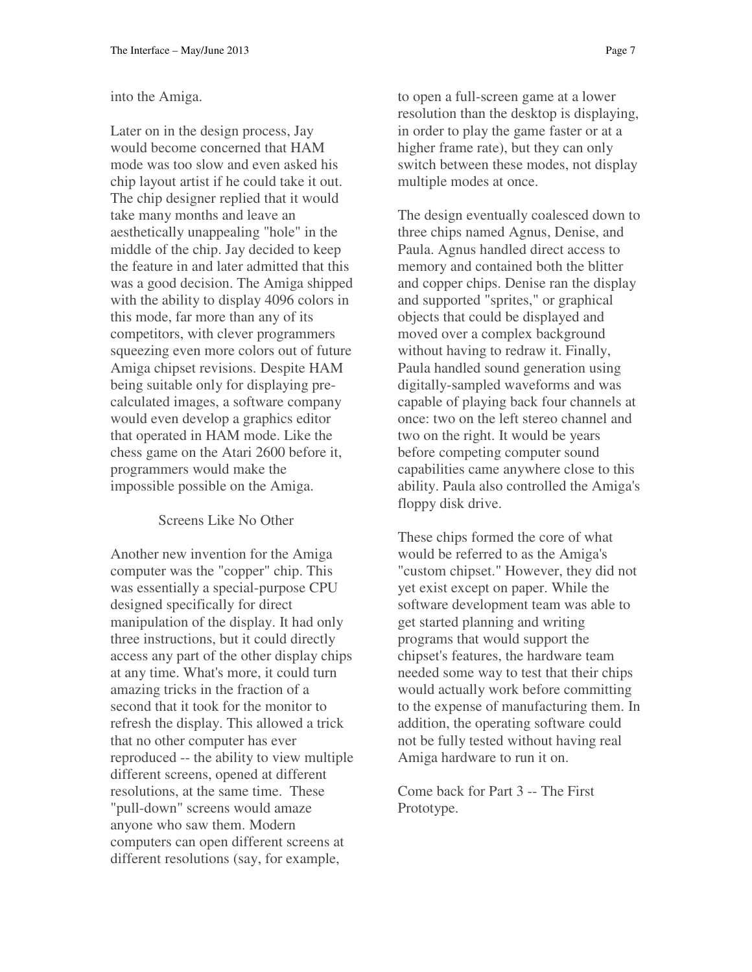#### into the Amiga.

Later on in the design process, Jay would become concerned that HAM mode was too slow and even asked his chip layout artist if he could take it out. The chip designer replied that it would take many months and leave an aesthetically unappealing "hole" in the middle of the chip. Jay decided to keep the feature in and later admitted that this was a good decision. The Amiga shipped with the ability to display 4096 colors in this mode, far more than any of its competitors, with clever programmers squeezing even more colors out of future Amiga chipset revisions. Despite HAM being suitable only for displaying precalculated images, a software company would even develop a graphics editor that operated in HAM mode. Like the chess game on the Atari 2600 before it, programmers would make the impossible possible on the Amiga.

Screens Like No Other

Another new invention for the Amiga computer was the "copper" chip. This was essentially a special-purpose CPU designed specifically for direct manipulation of the display. It had only three instructions, but it could directly access any part of the other display chips at any time. What's more, it could turn amazing tricks in the fraction of a second that it took for the monitor to refresh the display. This allowed a trick that no other computer has ever reproduced -- the ability to view multiple different screens, opened at different resolutions, at the same time. These "pull-down" screens would amaze anyone who saw them. Modern computers can open different screens at different resolutions (say, for example,

to open a full-screen game at a lower resolution than the desktop is displaying, in order to play the game faster or at a higher frame rate), but they can only switch between these modes, not display multiple modes at once.

The design eventually coalesced down to three chips named Agnus, Denise, and Paula. Agnus handled direct access to memory and contained both the blitter and copper chips. Denise ran the display and supported "sprites," or graphical objects that could be displayed and moved over a complex background without having to redraw it. Finally, Paula handled sound generation using digitally-sampled waveforms and was capable of playing back four channels at once: two on the left stereo channel and two on the right. It would be years before competing computer sound capabilities came anywhere close to this ability. Paula also controlled the Amiga's floppy disk drive.

These chips formed the core of what would be referred to as the Amiga's "custom chipset." However, they did not yet exist except on paper. While the software development team was able to get started planning and writing programs that would support the chipset's features, the hardware team needed some way to test that their chips would actually work before committing to the expense of manufacturing them. In addition, the operating software could not be fully tested without having real Amiga hardware to run it on.

Come back for Part 3 -- The First Prototype.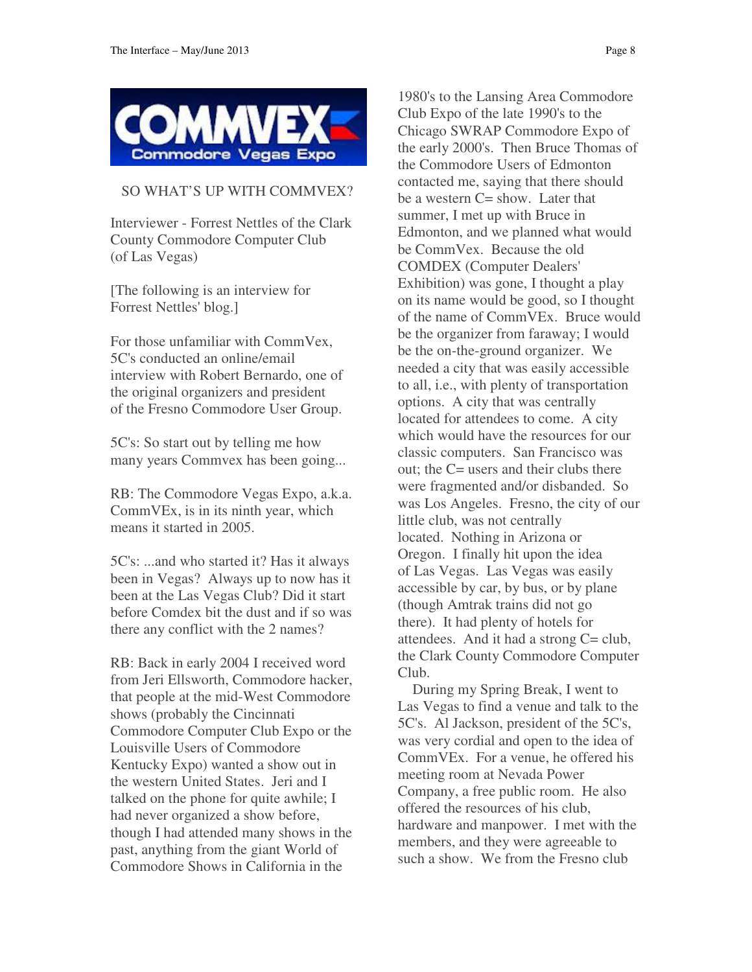

### SO WHAT'S UP WITH COMMVEX?

Interviewer - Forrest Nettles of the Clark County Commodore Computer Club (of Las Vegas)

[The following is an interview for Forrest Nettles' blog.]

For those unfamiliar with CommVex, 5C's conducted an online/email interview with Robert Bernardo, one of the original organizers and president of the Fresno Commodore User Group.

5C's: So start out by telling me how many years Commvex has been going...

RB: The Commodore Vegas Expo, a.k.a. CommVEx, is in its ninth year, which means it started in 2005.

5C's: ...and who started it? Has it always been in Vegas? Always up to now has it been at the Las Vegas Club? Did it start before Comdex bit the dust and if so was there any conflict with the 2 names?

RB: Back in early 2004 I received word from Jeri Ellsworth, Commodore hacker, that people at the mid-West Commodore shows (probably the Cincinnati Commodore Computer Club Expo or the Louisville Users of Commodore Kentucky Expo) wanted a show out in the western United States. Jeri and I talked on the phone for quite awhile; I had never organized a show before, though I had attended many shows in the past, anything from the giant World of Commodore Shows in California in the

1980's to the Lansing Area Commodore Club Expo of the late 1990's to the Chicago SWRAP Commodore Expo of the early 2000's. Then Bruce Thomas of the Commodore Users of Edmonton contacted me, saying that there should be a western  $C =$  show. Later that summer, I met up with Bruce in Edmonton, and we planned what would be CommVex. Because the old COMDEX (Computer Dealers' Exhibition) was gone, I thought a play on its name would be good, so I thought of the name of CommVEx. Bruce would be the organizer from faraway; I would be the on-the-ground organizer. We needed a city that was easily accessible to all, i.e., with plenty of transportation options. A city that was centrally located for attendees to come. A city which would have the resources for our classic computers. San Francisco was out; the C= users and their clubs there were fragmented and/or disbanded. So was Los Angeles. Fresno, the city of our little club, was not centrally located. Nothing in Arizona or Oregon. I finally hit upon the idea of Las Vegas. Las Vegas was easily accessible by car, by bus, or by plane (though Amtrak trains did not go there). It had plenty of hotels for attendees. And it had a strong C= club, the Clark County Commodore Computer Club.

 During my Spring Break, I went to Las Vegas to find a venue and talk to the 5C's. Al Jackson, president of the 5C's, was very cordial and open to the idea of CommVEx. For a venue, he offered his meeting room at Nevada Power Company, a free public room. He also offered the resources of his club, hardware and manpower. I met with the members, and they were agreeable to such a show. We from the Fresno club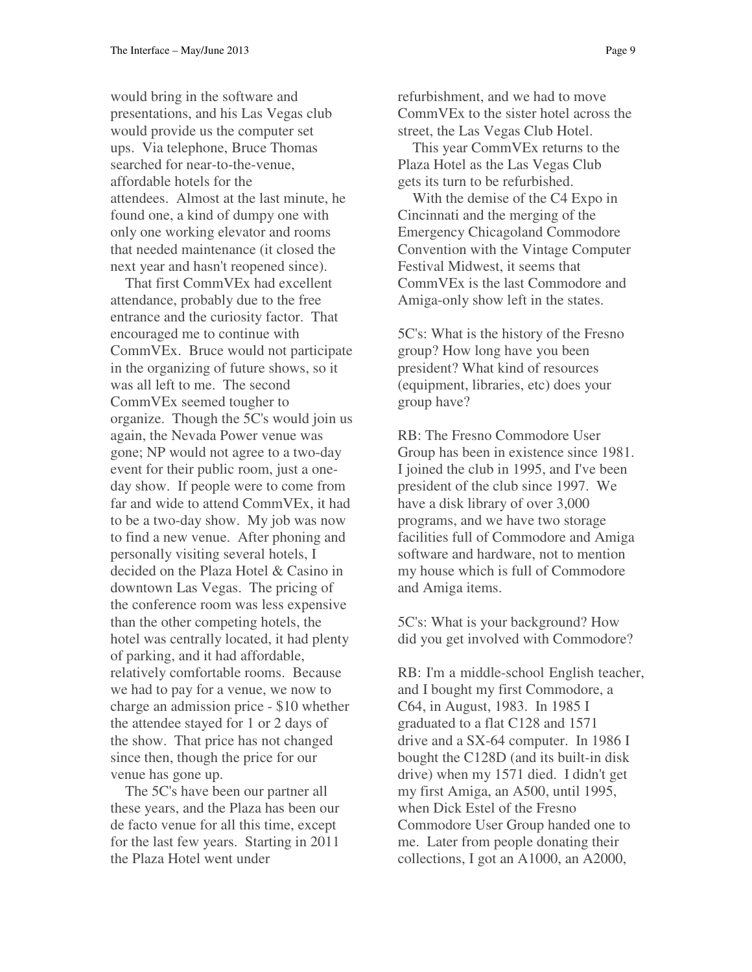would bring in the software and presentations, and his Las Vegas club would provide us the computer set ups. Via telephone, Bruce Thomas searched for near-to-the-venue, affordable hotels for the attendees. Almost at the last minute, he found one, a kind of dumpy one with only one working elevator and rooms that needed maintenance (it closed the next year and hasn't reopened since).

 That first CommVEx had excellent attendance, probably due to the free entrance and the curiosity factor. That encouraged me to continue with CommVEx. Bruce would not participate in the organizing of future shows, so it was all left to me. The second CommVEx seemed tougher to organize. Though the 5C's would join us again, the Nevada Power venue was gone; NP would not agree to a two-day event for their public room, just a oneday show. If people were to come from far and wide to attend CommVEx, it had to be a two-day show. My job was now to find a new venue. After phoning and personally visiting several hotels, I decided on the Plaza Hotel & Casino in downtown Las Vegas. The pricing of the conference room was less expensive than the other competing hotels, the hotel was centrally located, it had plenty of parking, and it had affordable, relatively comfortable rooms. Because we had to pay for a venue, we now to charge an admission price - \$10 whether the attendee stayed for 1 or 2 days of the show. That price has not changed since then, though the price for our venue has gone up.

 The 5C's have been our partner all these years, and the Plaza has been our de facto venue for all this time, except for the last few years. Starting in 2011 the Plaza Hotel went under

refurbishment, and we had to move CommVEx to the sister hotel across the street, the Las Vegas Club Hotel.

 This year CommVEx returns to the Plaza Hotel as the Las Vegas Club gets its turn to be refurbished.

 With the demise of the C4 Expo in Cincinnati and the merging of the Emergency Chicagoland Commodore Convention with the Vintage Computer Festival Midwest, it seems that CommVEx is the last Commodore and Amiga-only show left in the states.

5C's: What is the history of the Fresno group? How long have you been president? What kind of resources (equipment, libraries, etc) does your group have?

RB: The Fresno Commodore User Group has been in existence since 1981. I joined the club in 1995, and I've been president of the club since 1997. We have a disk library of over 3,000 programs, and we have two storage facilities full of Commodore and Amiga software and hardware, not to mention my house which is full of Commodore and Amiga items.

5C's: What is your background? How did you get involved with Commodore?

RB: I'm a middle-school English teacher, and I bought my first Commodore, a C64, in August, 1983. In 1985 I graduated to a flat C128 and 1571 drive and a SX-64 computer. In 1986 I bought the C128D (and its built-in disk drive) when my 1571 died. I didn't get my first Amiga, an A500, until 1995, when Dick Estel of the Fresno Commodore User Group handed one to me. Later from people donating their collections, I got an A1000, an A2000,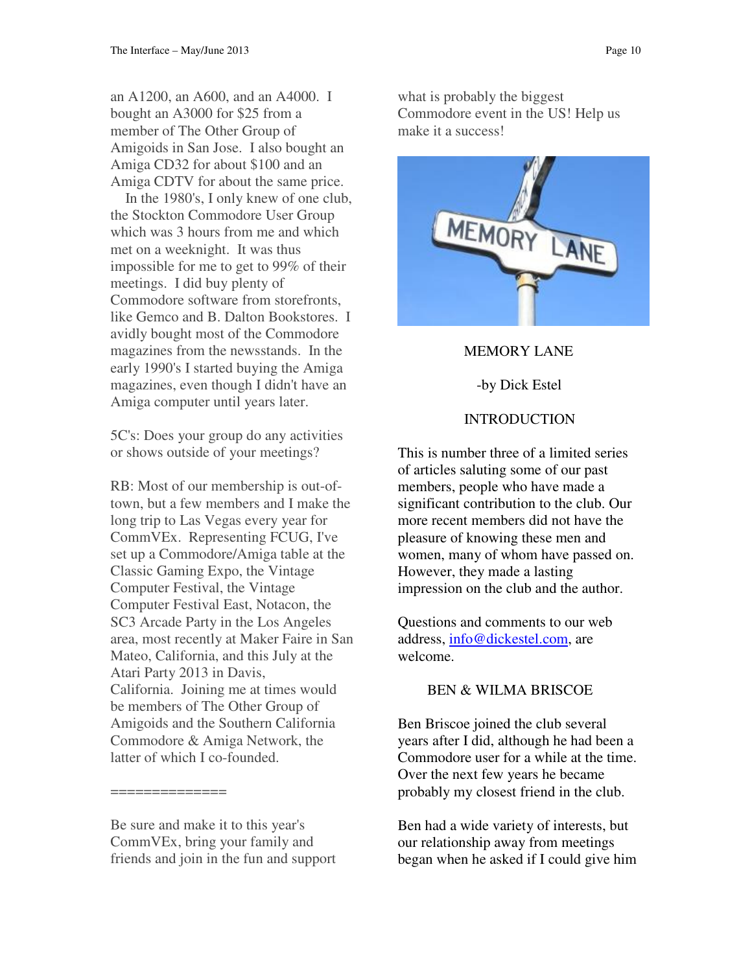an A1200, an A600, and an A4000. I bought an A3000 for \$25 from a member of The Other Group of Amigoids in San Jose. I also bought an Amiga CD32 for about \$100 and an Amiga CDTV for about the same price.

 In the 1980's, I only knew of one club, the Stockton Commodore User Group which was 3 hours from me and which met on a weeknight. It was thus impossible for me to get to 99% of their meetings. I did buy plenty of Commodore software from storefronts, like Gemco and B. Dalton Bookstores. I avidly bought most of the Commodore magazines from the newsstands. In the early 1990's I started buying the Amiga magazines, even though I didn't have an Amiga computer until years later.

5C's: Does your group do any activities or shows outside of your meetings?

RB: Most of our membership is out-oftown, but a few members and I make the long trip to Las Vegas every year for CommVEx. Representing FCUG, I've set up a Commodore/Amiga table at the Classic Gaming Expo, the Vintage Computer Festival, the Vintage Computer Festival East, Notacon, the SC3 Arcade Party in the Los Angeles area, most recently at Maker Faire in San Mateo, California, and this July at the Atari Party 2013 in Davis, California. Joining me at times would be members of The Other Group of Amigoids and the Southern California Commodore & Amiga Network, the latter of which I co-founded.

Be sure and make it to this year's CommVEx, bring your family and friends and join in the fun and support

==============

what is probably the biggest Commodore event in the US! Help us make it a success!



### MEMORY LANE

## -by Dick Estel

# **INTRODUCTION**

This is number three of a limited series of articles saluting some of our past members, people who have made a significant contribution to the club. Our more recent members did not have the pleasure of knowing these men and women, many of whom have passed on. However, they made a lasting impression on the club and the author.

Questions and comments to our web address, info@dickestel.com, are welcome.

# BEN & WILMA BRISCOE

Ben Briscoe joined the club several years after I did, although he had been a Commodore user for a while at the time. Over the next few years he became probably my closest friend in the club.

Ben had a wide variety of interests, but our relationship away from meetings began when he asked if I could give him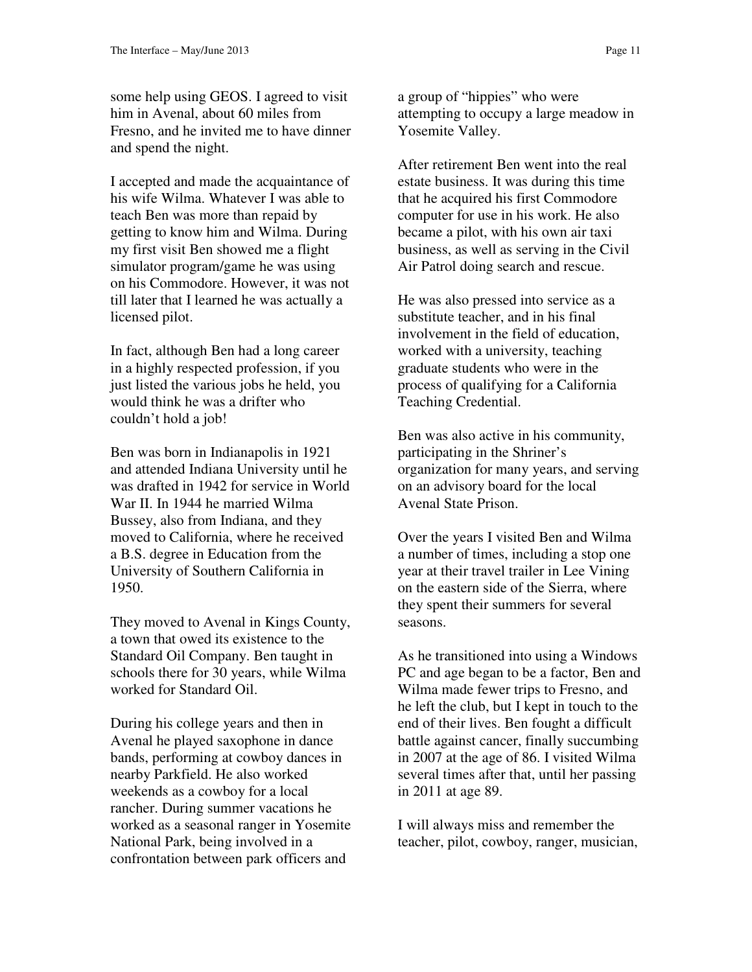some help using GEOS. I agreed to visit him in Avenal, about 60 miles from Fresno, and he invited me to have dinner and spend the night.

I accepted and made the acquaintance of his wife Wilma. Whatever I was able to teach Ben was more than repaid by getting to know him and Wilma. During my first visit Ben showed me a flight simulator program/game he was using on his Commodore. However, it was not till later that I learned he was actually a licensed pilot.

In fact, although Ben had a long career in a highly respected profession, if you just listed the various jobs he held, you would think he was a drifter who couldn't hold a job!

Ben was born in Indianapolis in 1921 and attended Indiana University until he was drafted in 1942 for service in World War II. In 1944 he married Wilma Bussey, also from Indiana, and they moved to California, where he received a B.S. degree in Education from the University of Southern California in 1950.

They moved to Avenal in Kings County, a town that owed its existence to the Standard Oil Company. Ben taught in schools there for 30 years, while Wilma worked for Standard Oil.

During his college years and then in Avenal he played saxophone in dance bands, performing at cowboy dances in nearby Parkfield. He also worked weekends as a cowboy for a local rancher. During summer vacations he worked as a seasonal ranger in Yosemite National Park, being involved in a confrontation between park officers and

a group of "hippies" who were attempting to occupy a large meadow in Yosemite Valley.

After retirement Ben went into the real estate business. It was during this time that he acquired his first Commodore computer for use in his work. He also became a pilot, with his own air taxi business, as well as serving in the Civil Air Patrol doing search and rescue.

He was also pressed into service as a substitute teacher, and in his final involvement in the field of education, worked with a university, teaching graduate students who were in the process of qualifying for a California Teaching Credential.

Ben was also active in his community, participating in the Shriner's organization for many years, and serving on an advisory board for the local Avenal State Prison.

Over the years I visited Ben and Wilma a number of times, including a stop one year at their travel trailer in Lee Vining on the eastern side of the Sierra, where they spent their summers for several seasons.

As he transitioned into using a Windows PC and age began to be a factor, Ben and Wilma made fewer trips to Fresno, and he left the club, but I kept in touch to the end of their lives. Ben fought a difficult battle against cancer, finally succumbing in 2007 at the age of 86. I visited Wilma several times after that, until her passing in 2011 at age 89.

I will always miss and remember the teacher, pilot, cowboy, ranger, musician,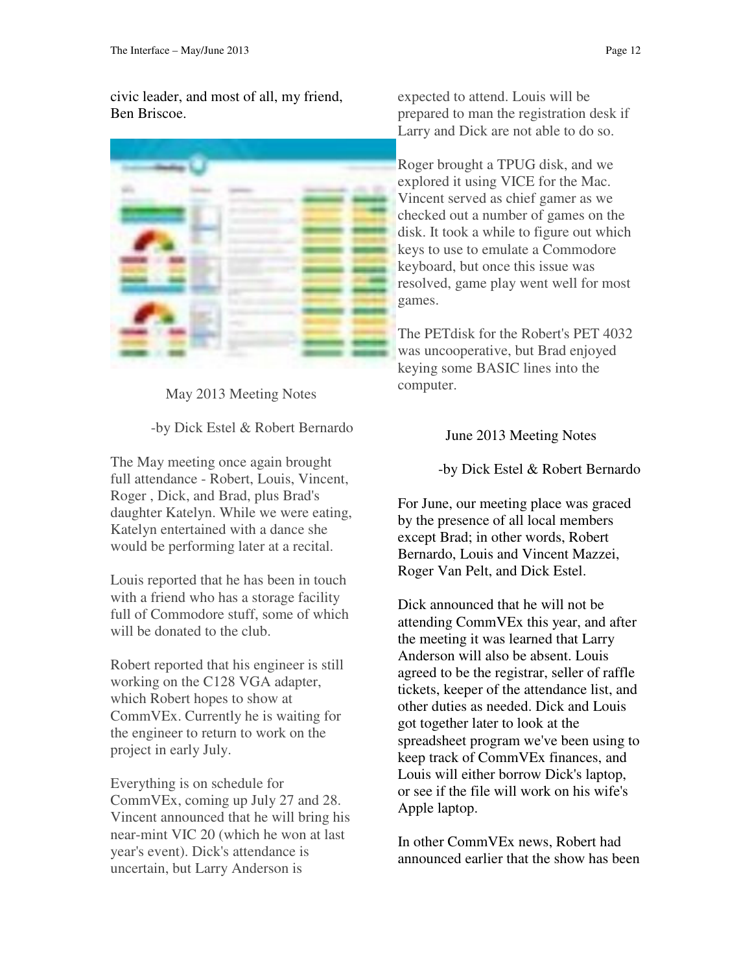civic leader, and most of all, my friend, Ben Briscoe.



May 2013 Meeting Notes

-by Dick Estel & Robert Bernardo

The May meeting once again brought full attendance - Robert, Louis, Vincent, Roger , Dick, and Brad, plus Brad's daughter Katelyn. While we were eating, Katelyn entertained with a dance she would be performing later at a recital.

Louis reported that he has been in touch with a friend who has a storage facility full of Commodore stuff, some of which will be donated to the club.

Robert reported that his engineer is still working on the C128 VGA adapter, which Robert hopes to show at CommVEx. Currently he is waiting for the engineer to return to work on the project in early July.

Everything is on schedule for CommVEx, coming up July 27 and 28. Vincent announced that he will bring his near-mint VIC 20 (which he won at last year's event). Dick's attendance is uncertain, but Larry Anderson is

expected to attend. Louis will be prepared to man the registration desk if Larry and Dick are not able to do so.

Roger brought a TPUG disk, and we explored it using VICE for the Mac. Vincent served as chief gamer as we checked out a number of games on the disk. It took a while to figure out which keys to use to emulate a Commodore keyboard, but once this issue was resolved, game play went well for most games.

The PETdisk for the Robert's PET 4032 was uncooperative, but Brad enjoyed keying some BASIC lines into the computer.

June 2013 Meeting Notes

-by Dick Estel & Robert Bernardo

For June, our meeting place was graced by the presence of all local members except Brad; in other words, Robert Bernardo, Louis and Vincent Mazzei, Roger Van Pelt, and Dick Estel.

Dick announced that he will not be attending CommVEx this year, and after the meeting it was learned that Larry Anderson will also be absent. Louis agreed to be the registrar, seller of raffle tickets, keeper of the attendance list, and other duties as needed. Dick and Louis got together later to look at the spreadsheet program we've been using to keep track of CommVEx finances, and Louis will either borrow Dick's laptop, or see if the file will work on his wife's Apple laptop.

In other CommVEx news, Robert had announced earlier that the show has been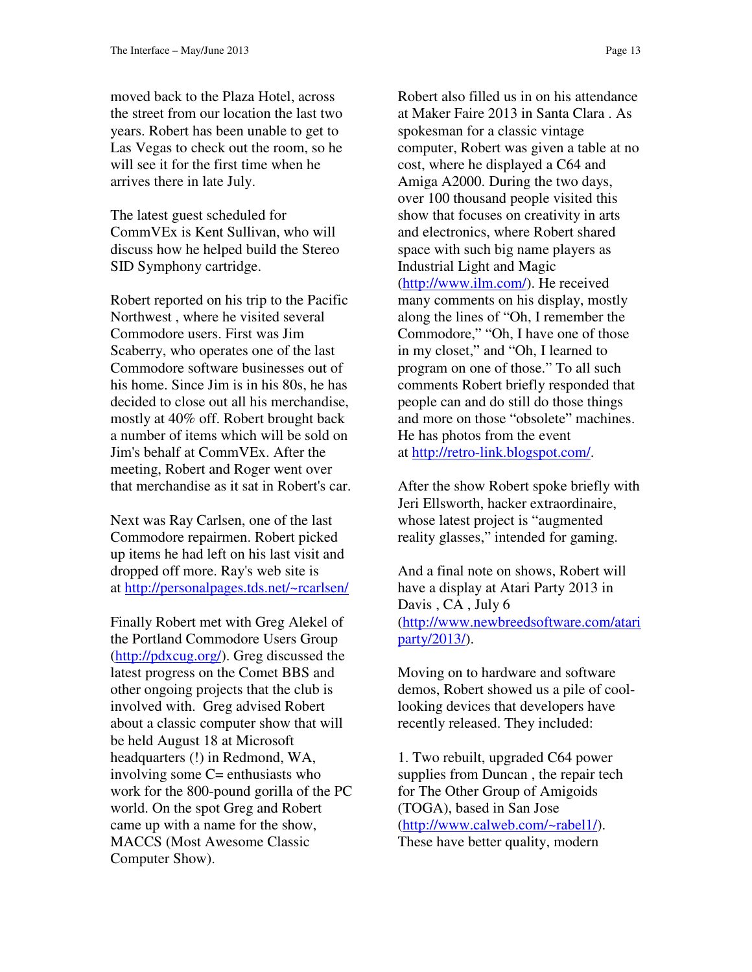moved back to the Plaza Hotel, across the street from our location the last two years. Robert has been unable to get to Las Vegas to check out the room, so he will see it for the first time when he arrives there in late July.

The latest guest scheduled for CommVEx is Kent Sullivan, who will discuss how he helped build the Stereo SID Symphony cartridge.

Robert reported on his trip to the Pacific Northwest , where he visited several Commodore users. First was Jim Scaberry, who operates one of the last Commodore software businesses out of his home. Since Jim is in his 80s, he has decided to close out all his merchandise, mostly at 40% off. Robert brought back a number of items which will be sold on Jim's behalf at CommVEx. After the meeting, Robert and Roger went over that merchandise as it sat in Robert's car.

Next was Ray Carlsen, one of the last Commodore repairmen. Robert picked up items he had left on his last visit and dropped off more. Ray's web site is at http://personalpages.tds.net/~rcarlsen/

Finally Robert met with Greg Alekel of the Portland Commodore Users Group (http://pdxcug.org/). Greg discussed the latest progress on the Comet BBS and other ongoing projects that the club is involved with. Greg advised Robert about a classic computer show that will be held August 18 at Microsoft headquarters (!) in Redmond, WA, involving some C= enthusiasts who work for the 800-pound gorilla of the PC world. On the spot Greg and Robert came up with a name for the show, MACCS (Most Awesome Classic Computer Show).

Robert also filled us in on his attendance at Maker Faire 2013 in Santa Clara . As spokesman for a classic vintage computer, Robert was given a table at no cost, where he displayed a C64 and Amiga A2000. During the two days, over 100 thousand people visited this show that focuses on creativity in arts and electronics, where Robert shared space with such big name players as Industrial Light and Magic (http://www.ilm.com/). He received many comments on his display, mostly along the lines of "Oh, I remember the Commodore," "Oh, I have one of those in my closet," and "Oh, I learned to program on one of those." To all such comments Robert briefly responded that people can and do still do those things and more on those "obsolete" machines. He has photos from the event at http://retro-link.blogspot.com/.

After the show Robert spoke briefly with Jeri Ellsworth, hacker extraordinaire, whose latest project is "augmented reality glasses," intended for gaming.

And a final note on shows, Robert will have a display at Atari Party 2013 in Davis , CA , July 6 (http://www.newbreedsoftware.com/atari party/2013/).

Moving on to hardware and software demos, Robert showed us a pile of coollooking devices that developers have recently released. They included:

1. Two rebuilt, upgraded C64 power supplies from Duncan , the repair tech for The Other Group of Amigoids (TOGA), based in San Jose (http://www.calweb.com/~rabel1/). These have better quality, modern